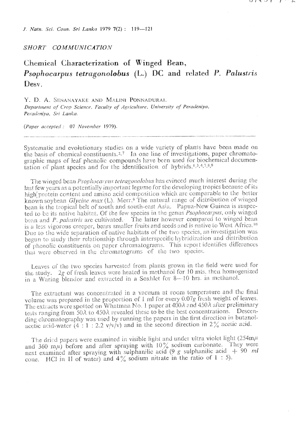J. Natn. Sci. Coun. Sri Lanka 1979 7(2): 119-121

## SHORT COMMUNICATION

Chemical Characterization of Winged Bean, Psophocarpus tetragonolobus (L.) DC and related P. Palustris Desv.

Y. D. A. SENANAYAKE AND MALINI PONNADURAL Department of Crop Science, Faculty of Agriculture, University of Peradeniya, Peradeniva, Sri Lanka.

(Paper accepted: 07 November 1979).

Systematic and evolutionary studies on a wide variety of plants have been made on the basis of chemical constituents.<sup>2,7</sup> In one line of investigations, paper chromatographic maps of leaf phenolic compounds have been used for biochemical documentation of plant species and for the identification of hybrids.<sup>1,3,4,7,8,9</sup>

The winged bean Psophocarpus tetragonolobus has evinced much interest during the last few years as a potentially important legume for the developing tropics because of its high protein content and amino acid composition which are comparable to the better known soybean  $Glycine$  max (L). Merr.<sup>6</sup> The natural range of distribution of winged bean is the tropical belt of south and south-east Asia. Papua-New Guinea is suspected to be its native habitat. Of the few species in the genus *Psophocarpus*, only winged bean and P. palustris are cultivated. The latter however compared to winged bean is a less vigorous creeper, bears smaller fruits and seeds and is native to West Africa.<sup>10</sup> Due to the wide separation of native habitats of the two species, an investigation was begun to study their relationship through interspecific hybridization and distribution of phenolic constituents on paper chromatograms. This report identifies differences that were observed in the chromatograms of the two species.

Leaves of the two species harvested from plants grown in the field were used for the study. 2g of fresh leaves were heated in methanol for 10 mts, then homogenized in a Waring blendor and extracted in a Soxhlet for 8-10 hrs. in methanol.

The extractant was concentrated in a vacuum at room temperature and the final volume was prepared in the proportion of 1 ml for every 0.07g fresh weight of leaves. The extracts were spotted on Whatman No. 1 paper at 400 $\lambda$  and 450 $\lambda$  after preliminary tests ranging from  $50\lambda$  to  $450\lambda$  revealed these to be the best concentrations. Descending chromatography was used by running the papers in the first direction in butanolacetic acid-water  $(4 : 1 : 2.2 \text{ v/v/v})$  and in the second direction in 2% acetic acid.

The dried papers were examined in visible light and under ultra violet light  $(254m)\mu$ and 360 m<sub>l</sub>) before and after spraying with  $10\%$  sodium carbonate. They were<br>next examined after spraying with sulphanilic acid (9 g sulphanilic acid + 90 ml<br>cone. HCl in 11 of water) and 4% sodium nitrate in the ratio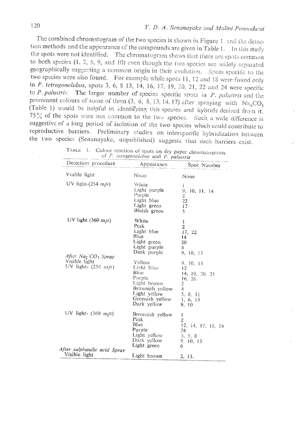The combined chromatogram of the two species is shown in Figure 1 and the detection methods and the appearance of the compounds are given in Table 1. In this study the spots were not identified. The chromatogram shows that there are spots common to both species  $(1, 2, 5, 9, 4, 10)$  even though the two species are widely separated geographically suggesting a common origin in their evolution. Spots specific to the two species were also found. For example while spots 11, 12 and 18 were found only in P. tetragonolobus, spots 3, 6, 8 13, 14, 16, 17, 19, 20, 21, 22 and 24 were specific to  $P$ . palustris. The larger number of species specific spots in  $P$ . palustris and the prominent colours of some of them  $(3, 6, 8, 13, 14, 17)$  after spraying with  $Na<sub>2</sub>CO<sub>3</sub>$ (Table 1) would be helpful in identifying this species and hybrids derived from it. 75% of the spots were not common to the two species. Such a wide difference is suggestive of a long period of isolation of the two species which could contribute to reproductive barriers. Preliminary studies on interspecific hybridization between the two species (Senanayake, unpublished) suggests that such barriers exist.

| Detection procedure Appearance                                                                |                                                                                                                            | Spot Number                                                                                               |
|-----------------------------------------------------------------------------------------------|----------------------------------------------------------------------------------------------------------------------------|-----------------------------------------------------------------------------------------------------------|
| Visible light                                                                                 | None                                                                                                                       | None                                                                                                      |
| UV light- $(254 \text{ m}/4)$                                                                 | White<br>Light purple<br>Purple<br>Light blue<br>Light green<br>Bluish green                                               | Î.<br>9, 10, 11, 14<br>2<br>22<br>17<br>ĸ,                                                                |
| UV light $(360 \text{ m}/6)$                                                                  | White<br>Pink<br>Light blue<br>Blue<br>Light green<br>Light purple<br>Dark purple                                          | I<br>2<br>17, 22<br>14<br>20<br>8<br>9, 10, 13                                                            |
| After Na <sub>2</sub> CO <sub>3</sub> Spray<br>Visible light<br>UV light- $(254 \text{ m}/4)$ | Yellow<br>Light blue<br>Blue<br>Purple<br>Light brown<br>Brownish yellow<br>Light yellow<br>Greenish yellow<br>Dark yellow | 9, 10, 13<br>12<br>14, 19, 20, 21<br>16, 26<br>$\boldsymbol{z}$<br>4<br>5, 8, 11<br>1, 6, 13<br>9, 10     |
| UV light- $(360 \text{ m}/l)$                                                                 | Brownish yellow<br>Pink<br>Blue<br>Purple<br>Light yellow<br>Dark yellow<br>Light green                                    | ı<br>$\overline{2}$<br>12, 14, 17, 18, 19<br>24<br>$\mathbf{3},~\mathbf{5},~\mathbf{8}$<br>9, 10, 13<br>6 |
| After sulphanilic acid Spray<br>Visible light                                                 | Light brown                                                                                                                | 2, 13.                                                                                                    |

TABLE 1. Colour reaction of spots on dry paper chromatograms of  $P$ , tetragonolohus and P, polytein